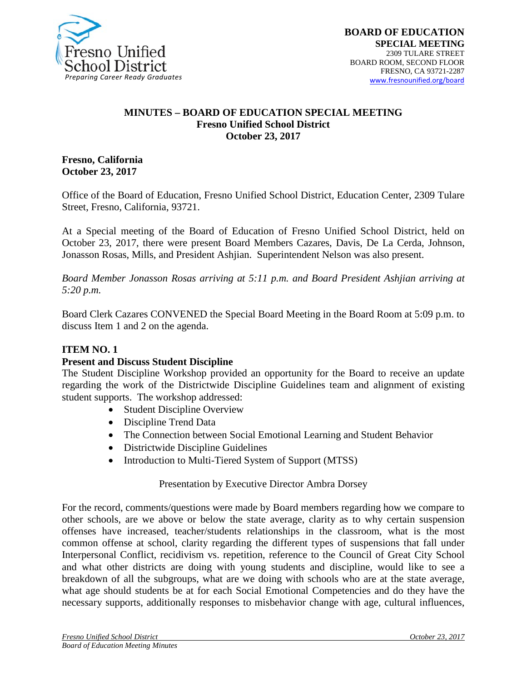

#### **MINUTES – BOARD OF EDUCATION SPECIAL MEETING Fresno Unified School District October 23, 2017**

**Fresno, California October 23, 2017** 

Office of the Board of Education, Fresno Unified School District, Education Center, 2309 Tulare Street, Fresno, California, 93721.

At a Special meeting of the Board of Education of Fresno Unified School District, held on October 23, 2017, there were present Board Members Cazares, Davis, De La Cerda, Johnson, Jonasson Rosas, Mills, and President Ashjian. Superintendent Nelson was also present.

*Board Member Jonasson Rosas arriving at 5:11 p.m. and Board President Ashjian arriving at 5:20 p.m.*

Board Clerk Cazares CONVENED the Special Board Meeting in the Board Room at 5:09 p.m. to discuss Item 1 and 2 on the agenda.

## **ITEM NO. 1**

### **Present and Discuss Student Discipline**

The Student Discipline Workshop provided an opportunity for the Board to receive an update regarding the work of the Districtwide Discipline Guidelines team and alignment of existing student supports. The workshop addressed:

- Student Discipline Overview
- Discipline Trend Data
- The Connection between Social Emotional Learning and Student Behavior
- Districtwide Discipline Guidelines
- Introduction to Multi-Tiered System of Support (MTSS)

### Presentation by Executive Director Ambra Dorsey

For the record, comments/questions were made by Board members regarding how we compare to other schools, are we above or below the state average, clarity as to why certain suspension offenses have increased, teacher/students relationships in the classroom, what is the most common offense at school, clarity regarding the different types of suspensions that fall under Interpersonal Conflict, recidivism vs. repetition, reference to the Council of Great City School and what other districts are doing with young students and discipline, would like to see a breakdown of all the subgroups, what are we doing with schools who are at the state average, what age should students be at for each Social Emotional Competencies and do they have the necessary supports, additionally responses to misbehavior change with age, cultural influences,